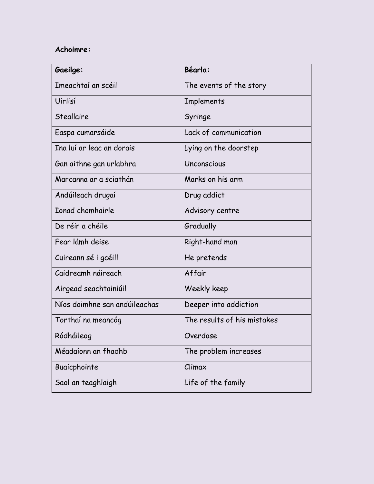## **Achoimre:**

| Gaeilge:                      | Béarla:                     |
|-------------------------------|-----------------------------|
| Imeachtaí an scéil            | The events of the story     |
| Uirlisí                       | <b>Implements</b>           |
| <b>Steallaire</b>             | Syringe                     |
| Easpa cumarsáide              | Lack of communication       |
| Ina luí ar leac an dorais     | Lying on the doorstep       |
| Gan aithne gan urlabhra       | Unconscious                 |
| Marcanna ar a sciathán        | Marks on his arm            |
| Andúileach drugaí             | Drug addict                 |
| <b>Ionad chomhairle</b>       | Advisory centre             |
| De réir a chéile              | Gradually                   |
| Fear lámh deise               | Right-hand man              |
| Cuireann sé i gcéill          | He pretends                 |
| Caidreamh náireach            | Affair                      |
| Airgead seachtainiúil         | Weekly keep                 |
| Níos doimhne san andúileachas | Deeper into addiction       |
| Torthaí na meancóg            | The results of his mistakes |
| Ródháileog                    | Overdose                    |
| Méadaíonn an fhadhb           | The problem increases       |
| Buaicphointe                  | Climax                      |
| Saol an teaghlaigh            | Life of the family          |